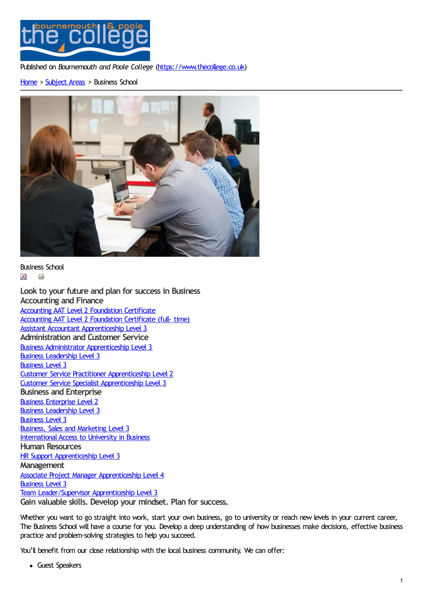

Published on *Bournemouth and Poole College* [\(https://www.thecollege.co.uk](https://www.thecollege.co.uk))

### [Home](https://www.thecollege.co.uk/) > [Subject](https://www.thecollege.co.uk/what-to-study/curriculum-areas) Areas > Business School



Business School  $\lambda$   $\ominus$ 

**[Look](https://www.thecollege.co.uk/printpdf/taxonomy/term/53) [to](https://www.thecollege.co.uk/print/taxonomy/term/53) your future and plan for success in Business Accounting and Finance** Accounting AAT Level 2 [Foundation](https://www.thecollege.co.uk/courses/accounting-aat-level-2-foundation-certificate) Certificate Accounting AAT Level 2 [Foundation](https://www.thecollege.co.uk/courses/accounting-aat-level-2-foundation-certificate-full-time) Certificate (full- time) Assistant Accountant [Apprenticeship](https://www.thecollege.co.uk/courses/assistant-accountant-apprenticeship-level-3) Level 3 **Administration and Customer Service** Business Administrator [Apprenticeship](https://www.thecollege.co.uk/courses/business-administrator-apprenticeship-level-3) Level 3 Business [Leadership](https://www.thecollege.co.uk/courses/business-leadership-level-3) Level 3 [Business](https://www.thecollege.co.uk/courses/business-level-3) Level 3 Customer Service Practitioner [Apprenticeship](https://www.thecollege.co.uk/courses/customer-service-practitioner-apprenticeship-level-2) Level 2 Customer Service Specialist [Apprenticeship](https://www.thecollege.co.uk/courses/customer-service-specialist-apprenticeship-level-3) Level 3 **Business and Enterprise** Business [Enterprise](https://www.thecollege.co.uk/courses/business-enterprise-level-2) Level 2 Business [Leadership](https://www.thecollege.co.uk/courses/business-leadership-level-3) Level 3 [Business](https://www.thecollege.co.uk/courses/business-level-3) Level 3 Business, Sales and [Marketing](https://www.thecollege.co.uk/courses/business-sales-and-marketing-level-3) Level 3 [International](https://www.thecollege.co.uk/courses/international-access-university-business) Access to University in Business **Human Resources** HR Support [Apprenticeship](https://www.thecollege.co.uk/courses/hr-support-apprenticeship-level-3) Level 3 **Management** Associate Project Manager [Apprenticeship](https://www.thecollege.co.uk/courses/associate-project-manager-apprenticeship-level-4) Level 4 [Business](https://www.thecollege.co.uk/courses/business-level-3) Level 3 Team [Leader/Supervisor](https://www.thecollege.co.uk/courses/team-leadersupervisor-apprenticeship-level-3) Apprenticeship Level 3 **Gain valuable skills. Develop your mindset. Plan for success.**

Whether you want to go straight into work, start your own business, go to university or reach new levels in your current career, The Business School will have a course for you. Develop a deep understanding of how businesses make decisions, effective business practice and problem-solving strategies to help you succeed.

You'll benefit from our close relationship with the local business community. We can offer:

Guest Speakers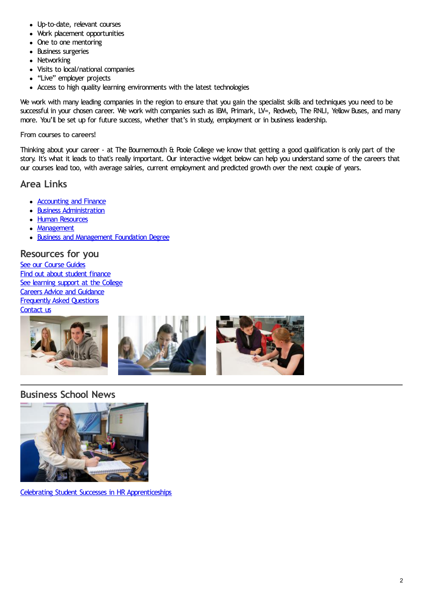- Up-to-date, relevant courses
- Work placement opportunities
- One to one mentoring
- Business surgeries
- Networking
- Visits to local/national companies
- "Live" employer projects
- Access to high quality learning environments with the latest technologies

We work with many leading companies in the region to ensure that you gain the specialist skills and techniques you need to be successful in your chosen career. We work with companies such as IBM, Primark, LV=, Redweb, The RNLI, Yellow Buses, and many more. You'll be set up for future success, whether that's in study, employment or in business leadership.

#### **From courses to careers!**

Thinking about your career - at The Bournemouth & Poole College we know that getting a good qualification is only part of the story. It's what it leads to that's really important. Our interactive widget below can help you understand some of the careers that our courses lead too, with average salries, current employment and predicted growth over the next couple of years.

## **Area Links**

- [Accounting](https://www.thecollege.co.uk/what-to-study/curriculum-areas/business-school/accounting-and-finance) and Finance
- **Business [Administration](https://www.thecollege.co.uk/what-to-study/curriculum-areas/business-school/business-administration)**
- Human [Resources](https://www.thecollege.co.uk/what-to-study/curriculum-areas/business-school/human-resources)
- [Management](https://www.thecollege.co.uk/what-to-study/curriculum-areas/business-school/management)
- Business and [Management](https://www.thecollege.co.uk/degree-level/our-degree-level-courses/business-school) Foundation Degree

### **Resources for you**

See our [Course](https://www.thecollege.co.uk/what-to-study/course-guides) Guides Find out about [student](https://www.thecollege.co.uk/student-support/student-finance) finance See [learning](https://www.thecollege.co.uk/student-support/learning-support) support at the College Careers Advice and [Guidance](https://www.thecollege.co.uk/careers-advice-and-guidance) [Frequently](https://www.thecollege.co.uk/faq) Asked Questions [Contact](https://www.thecollege.co.uk/about-us/contact-us) us



# **Business School News**



Celebrating Student Successes in HR [Apprenticeships](https://www.thecollege.co.uk/news/celebrating-student-successes-hr-apprenticeships)